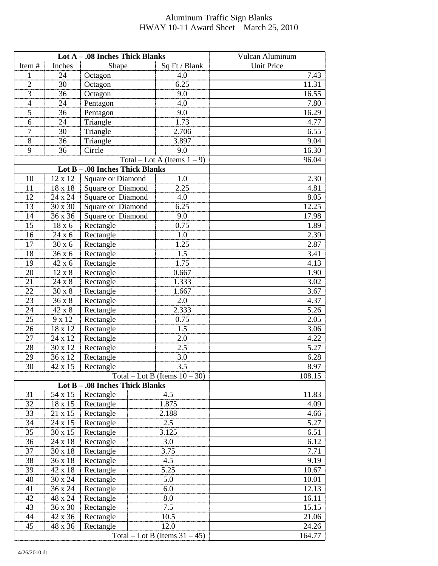## Aluminum Traffic Sign Blanks HWAY 10-11 Award Sheet – March 25, 2010

|                                                                     |                | Lot A - .08 Inches Thick Blanks  | Vulcan Aluminum                |                   |  |  |  |
|---------------------------------------------------------------------|----------------|----------------------------------|--------------------------------|-------------------|--|--|--|
| Item#                                                               | Inches         | Shape                            | Sq Ft / Blank                  | <b>Unit Price</b> |  |  |  |
| $\mathbf{1}$                                                        | 24             | Octagon                          | 4.0                            | 7.43              |  |  |  |
| $\overline{2}$                                                      | 30             | Octagon                          | 6.25                           | 11.31             |  |  |  |
| 3                                                                   | 36             | Octagon                          | 9.0                            | 16.55             |  |  |  |
| $\overline{4}$                                                      | 24             | Pentagon                         | 4.0                            | 7.80              |  |  |  |
| 5                                                                   | 36             | Pentagon                         | 9.0                            | 16.29             |  |  |  |
| 6                                                                   | 24             | Triangle                         | 1.73                           | 4.77              |  |  |  |
| $\boldsymbol{7}$                                                    | 30             | Triangle                         | 2.706                          | 6.55              |  |  |  |
| $8\,$                                                               | 36             | Triangle                         | 3.897                          | 9.04              |  |  |  |
| 9                                                                   | 36             | Circle                           | 9.0                            | 16.30             |  |  |  |
|                                                                     |                |                                  | Total – Lot A (Items $1 - 9$ ) | 96.04             |  |  |  |
|                                                                     | Lot $B -$      | -.08 Inches Thick Blanks         |                                |                   |  |  |  |
| 10                                                                  | 12 x 12        | <b>Square or Diamond</b>         | 1.0                            | 2.30              |  |  |  |
| 11                                                                  | 18 x 18        | Square or Diamond                | 2.25                           | 4.81              |  |  |  |
| 12                                                                  | 24 x 24        | Square or Diamond                | 4.0                            | 8.05              |  |  |  |
| 13                                                                  | 30 x 30        | Square or Diamond                | 6.25                           | 12.25             |  |  |  |
| 14                                                                  | 36 x 36        | Square or Diamond                | 9.0                            | 17.98             |  |  |  |
| 15                                                                  | $18x$ $6$      | Rectangle                        | 0.75                           | 1.89              |  |  |  |
| 16                                                                  | 24 x 6         | Rectangle                        | $1.0\,$                        | 2.39              |  |  |  |
| 17                                                                  | 30 x 6         | Rectangle                        | 1.25                           | 2.87              |  |  |  |
| 18                                                                  | 36 x 6         | Rectangle                        | 1.5                            | 3.41              |  |  |  |
| 19                                                                  | 42 x 6         | Rectangle                        | 1.75                           | 4.13              |  |  |  |
| $\overline{20}$                                                     | $12 \times 8$  | Rectangle                        | 0.667                          | 1.90              |  |  |  |
| 21                                                                  | $24 \times 8$  | Rectangle                        | 1.333                          | 3.02              |  |  |  |
| 22                                                                  | $30 \times 8$  | Rectangle                        | 1.667                          | 3.67              |  |  |  |
| 23                                                                  | 36 x 8         | Rectangle                        | 2.0                            | 4.37              |  |  |  |
| 24                                                                  | 42 x 8         | Rectangle                        | 2.333                          | 5.26              |  |  |  |
| 25                                                                  | 9 x 12         | Rectangle                        | 0.75                           | 2.05              |  |  |  |
| 26                                                                  | 18 x 12        | Rectangle                        | 1.5                            | 3.06              |  |  |  |
| 27                                                                  | 24 x 12        | Rectangle                        | 2.0                            | 4.22              |  |  |  |
| 28                                                                  | 30 x 12        | Rectangle                        | 2.5                            | 5.27              |  |  |  |
| 29                                                                  | 36 x 12        | Rectangle                        | 3.0                            | 6.28              |  |  |  |
| 30                                                                  | 42 x 15        | Rectangle                        | 3.5                            | 8.97              |  |  |  |
|                                                                     |                |                                  |                                | 108.15            |  |  |  |
| Total – Lot B (Items $10 - 30$ )<br>Lot B - .08 Inches Thick Blanks |                |                                  |                                |                   |  |  |  |
| 31                                                                  | 54 x 15        | 11.83                            |                                |                   |  |  |  |
| 32                                                                  | 18 x 15        | Rectangle<br>Rectangle           | 4.5                            | 4.09              |  |  |  |
| 33                                                                  | 21 x 15        |                                  | 1.875<br>2.188                 |                   |  |  |  |
|                                                                     |                | Rectangle                        |                                | 4.66<br>5.27      |  |  |  |
| 34                                                                  | 24 x 15        | Rectangle                        | 2.5                            |                   |  |  |  |
| 35                                                                  | 30 x 15        | Rectangle                        | 3.125                          | 6.51              |  |  |  |
| 36                                                                  | 24 x 18        | Rectangle                        | 3.0                            | 6.12              |  |  |  |
| 37                                                                  | 30 x 18        | Rectangle                        | 3.75<br>4.5                    | 7.71              |  |  |  |
| 38                                                                  | 36 x 18        | Rectangle                        | 5.25                           | 9.19              |  |  |  |
| 39                                                                  | 42 x 18        | Rectangle                        |                                | 10.67             |  |  |  |
| 40                                                                  | $30 \times 24$ | Rectangle                        | 5.0                            | 10.01             |  |  |  |
| 41                                                                  | 36 x 24        | Rectangle                        | 6.0                            | 12.13             |  |  |  |
| 42                                                                  | 48 x 24        | Rectangle                        | 8.0                            | 16.11             |  |  |  |
| 43                                                                  | 36 x 30        | Rectangle                        | 7.5                            | 15.15             |  |  |  |
| 44                                                                  | 42 x 36        | Rectangle                        | 10.5                           | 21.06             |  |  |  |
| 45                                                                  | 48 x 36        | Rectangle                        | 12.0                           | 24.26             |  |  |  |
|                                                                     |                | Total – Lot B (Items $31 - 45$ ) | 164.77                         |                   |  |  |  |